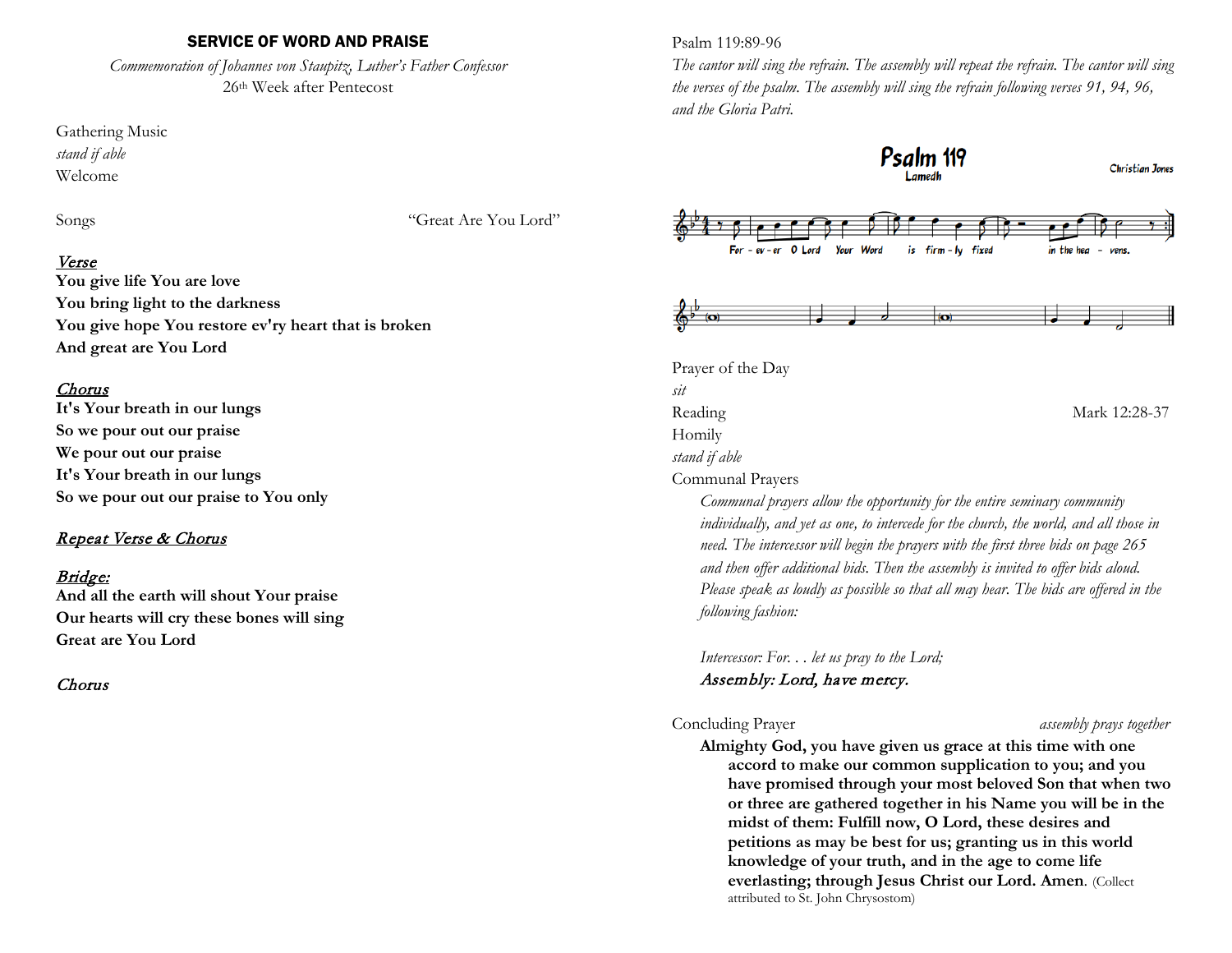### SERVICE OF WORD AND PRAISE

*Commemoration of Johannes von Staupitz, Luther's Father Confessor* 26th Week after Pentecost

Gathering Music *stand if able* Welcome

Songs "Great Are You Lord"

# Verse

**You give life You are love You bring light to the darkness You give hope You restore ev'ry heart that is broken And great are You Lord**

### Chorus

**It's Your breath in our lungs So we pour out our praise We pour out our praise It's Your breath in our lungs So we pour out our praise to You only**

# Repeat Verse & Chorus

# Bridge:

**And all the earth will shout Your praise Our hearts will cry these bones will sing Great are You Lord**

# Chorus

Psalm 119:89-96

*The cantor will sing the refrain. The assembly will repeat the refrain. The cantor will sing the verses of the psalm. The assembly will sing the refrain following verses 91, 94, 96, and the Gloria Patri.*



*individually, and yet as one, to intercede for the church, the world, and all those in need. The intercessor will begin the prayers with the first three bids on page 265 and then offer additional bids. Then the assembly is invited to offer bids aloud. Please speak as loudly as possible so that all may hear. The bids are offered in the following fashion:*

*Intercessor: For. . . let us pray to the Lord;* Assembly: Lord, have mercy.

#### Concluding Prayer *assembly prays together*

**Almighty God, you have given us grace at this time with one accord to make our common supplication to you; and you have promised through your most beloved Son that when two or three are gathered together in his Name you will be in the midst of them: Fulfill now, O Lord, these desires and petitions as may be best for us; granting us in this world knowledge of your truth, and in the age to come life everlasting; through Jesus Christ our Lord. Amen**. (Collect attributed to St. John Chrysostom)